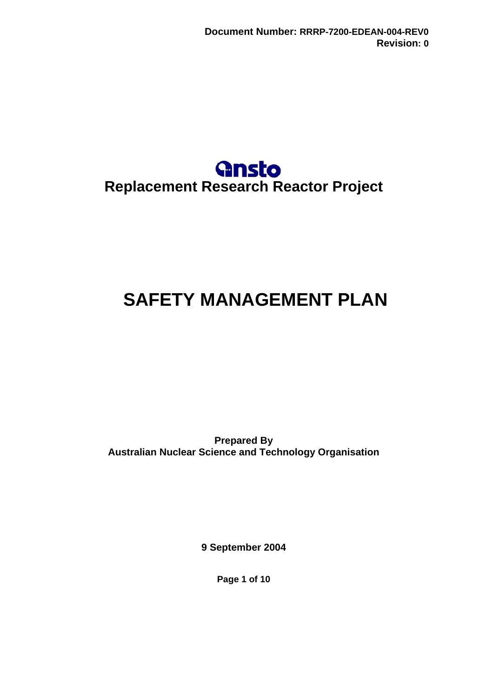

# <span id="page-0-0"></span>**SAFETY MANAGEMENT PLAN**

**Prepared By Australian Nuclear Science and Technology Organisation** 

**9 September 2004** 

**Page 1 of 10**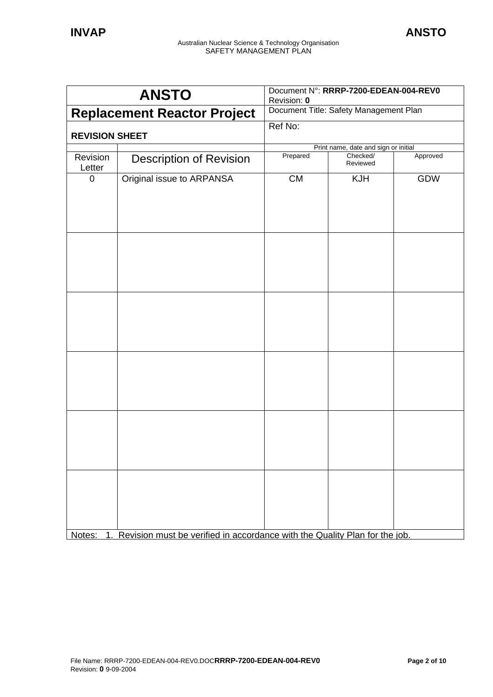|                         | <b>ANSTO</b>                                                               | Document N°: RRRP-7200-EDEAN-004-REV0<br>Revision: 0 |                                      |            |
|-------------------------|----------------------------------------------------------------------------|------------------------------------------------------|--------------------------------------|------------|
|                         | <b>Replacement Reactor Project</b>                                         | Document Title: Safety Management Plan               |                                      |            |
| <b>REVISION SHEET</b>   |                                                                            | Ref No:                                              |                                      |            |
|                         |                                                                            |                                                      | Print name, date and sign or initial |            |
| Revision<br>Letter      | <b>Description of Revision</b>                                             | Prepared                                             | Checked/<br>Reviewed                 | Approved   |
| $\mathbf 0$             | Original issue to ARPANSA                                                  | <b>CM</b>                                            | <b>KJH</b>                           | <b>GDW</b> |
| Notes:<br>$\mathbf 1$ . | Revision must be verified in accordance with the Quality Plan for the job. |                                                      |                                      |            |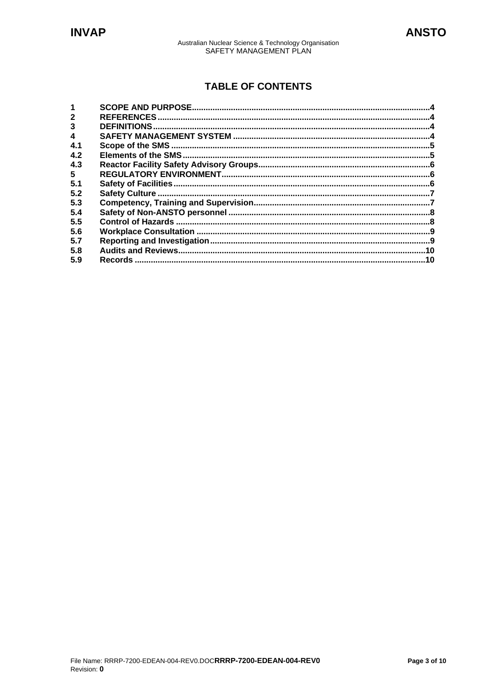## **TABLE OF CONTENTS**

| $\overline{2}$ |     |  |
|----------------|-----|--|
| 3              |     |  |
|                |     |  |
| 4.1            |     |  |
| 4.2            |     |  |
| 4.3            |     |  |
| 5              |     |  |
| 5.1            |     |  |
| 5.2            |     |  |
| 5.3            |     |  |
| 5.4            |     |  |
| 5.5            |     |  |
| 5.6            |     |  |
| 5.7            |     |  |
| 5.8            |     |  |
| 5.9            | .10 |  |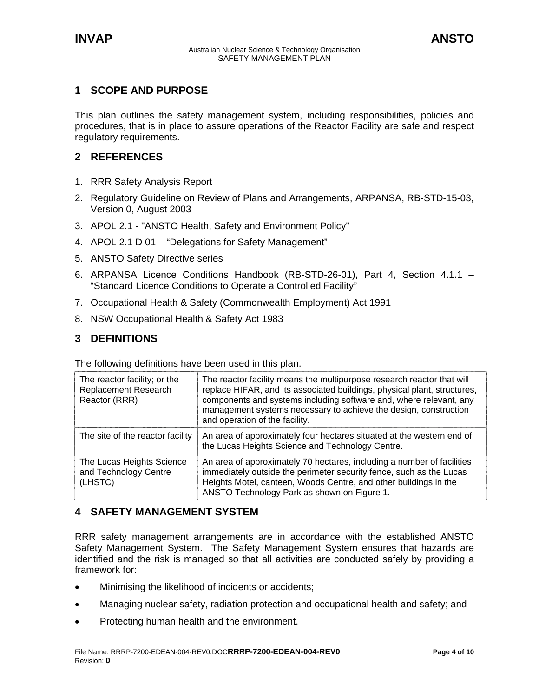## <span id="page-3-0"></span>**1 SCOPE AND PURPOSE**

This plan outlines the safety management system, including responsibilities, policies and procedures, that is in place to assure operations of the Reactor Facility are safe and respect regulatory requirements.

## **2 REFERENCES**

- 1. RRR Safety Analysis Report
- 2. Regulatory Guideline on Review of Plans and Arrangements, ARPANSA, RB-STD-15-03, Version 0, August 2003
- 3. APOL 2.1 "ANSTO Health, Safety and Environment Policy"
- 4. APOL 2.1 D 01 "Delegations for Safety Management"
- 5. ANSTO Safety Directive series
- 6. ARPANSA Licence Conditions Handbook (RB-STD-26-01), Part 4, Section 4.1.1 "Standard Licence Conditions to Operate a Controlled Facility"
- 7. Occupational Health & Safety (Commonwealth Employment) Act 1991
- 8. NSW Occupational Health & Safety Act 1983

## **3 DEFINITIONS**

The following definitions have been used in this plan.

| The reactor facility; or the<br>Replacement Research<br>Reactor (RRR) | The reactor facility means the multipurpose research reactor that will<br>replace HIFAR, and its associated buildings, physical plant, structures,<br>components and systems including software and, where relevant, any<br>management systems necessary to achieve the design, construction<br>and operation of the facility. |
|-----------------------------------------------------------------------|--------------------------------------------------------------------------------------------------------------------------------------------------------------------------------------------------------------------------------------------------------------------------------------------------------------------------------|
| The site of the reactor facility                                      | An area of approximately four hectares situated at the western end of<br>the Lucas Heights Science and Technology Centre.                                                                                                                                                                                                      |
| The Lucas Heights Science<br>and Technology Centre<br>(LHSTC)         | An area of approximately 70 hectares, including a number of facilities<br>immediately outside the perimeter security fence, such as the Lucas<br>Heights Motel, canteen, Woods Centre, and other buildings in the<br>ANSTO Technology Park as shown on Figure 1.                                                               |

## **4 SAFETY MANAGEMENT SYSTEM**

RRR safety management arrangements are in accordance with the established ANSTO Safety Management System. The Safety Management System ensures that hazards are identified and the risk is managed so that all activities are conducted safely by providing a framework for:

- Minimising the likelihood of incidents or accidents;
- Managing nuclear safety, radiation protection and occupational health and safety; and
- Protecting human health and the environment.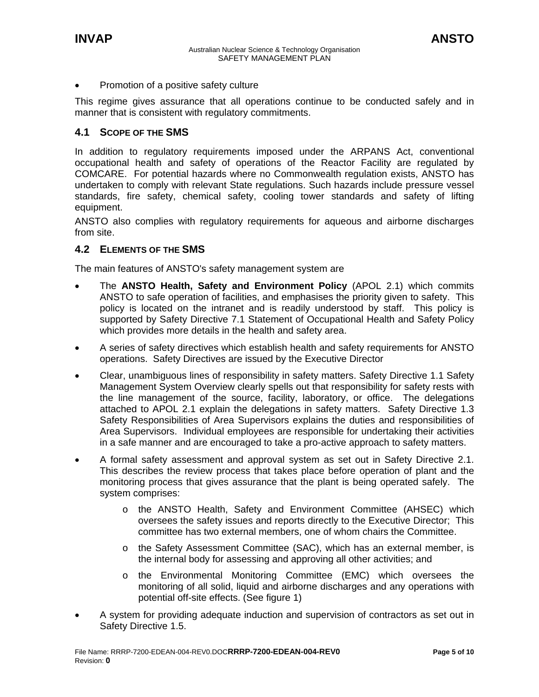<span id="page-4-0"></span>• Promotion of a positive safety culture

This regime gives assurance that all operations continue to be conducted safely and in manner that is consistent with regulatory commitments.

#### **4.1 SCOPE OF THE SMS**

In addition to regulatory requirements imposed under the ARPANS Act, conventional occupational health and safety of operations of the Reactor Facility are regulated by COMCARE. For potential hazards where no Commonwealth regulation exists, ANSTO has undertaken to comply with relevant State regulations. Such hazards include pressure vessel standards, fire safety, chemical safety, cooling tower standards and safety of lifting equipment.

ANSTO also complies with regulatory requirements for aqueous and airborne discharges from site.

#### **4.2 ELEMENTS OF THE SMS**

The main features of ANSTO's safety management system are

- The **ANSTO Health, Safety and Environment Policy** (APOL 2.1) which commits ANSTO to safe operation of facilities, and emphasises the priority given to safety. This policy is located on the intranet and is readily understood by staff. This policy is supported by Safety Directive 7.1 Statement of Occupational Health and Safety Policy which provides more details in the health and safety area.
- A series of safety directives which establish health and safety requirements for ANSTO operations. Safety Directives are issued by the Executive Director
- Clear, unambiguous lines of responsibility in safety matters. Safety Directive 1.1 Safety Management System Overview clearly spells out that responsibility for safety rests with the line management of the source, facility, laboratory, or office. The delegations attached to APOL 2.1 explain the delegations in safety matters. Safety Directive 1.3 Safety Responsibilities of Area Supervisors explains the duties and responsibilities of Area Supervisors. Individual employees are responsible for undertaking their activities in a safe manner and are encouraged to take a pro-active approach to safety matters.
- A formal safety assessment and approval system as set out in Safety Directive 2.1. This describes the review process that takes place before operation of plant and the monitoring process that gives assurance that the plant is being operated safely. The system comprises:
	- o the ANSTO Health, Safety and Environment Committee (AHSEC) which oversees the safety issues and reports directly to the Executive Director; This committee has two external members, one of whom chairs the Committee.
	- o the Safety Assessment Committee (SAC), which has an external member, is the internal body for assessing and approving all other activities; and
	- o the Environmental Monitoring Committee (EMC) which oversees the monitoring of all solid, liquid and airborne discharges and any operations with potential off-site effects. (See figure 1)
- A system for providing adequate induction and supervision of contractors as set out in Safety Directive 1.5.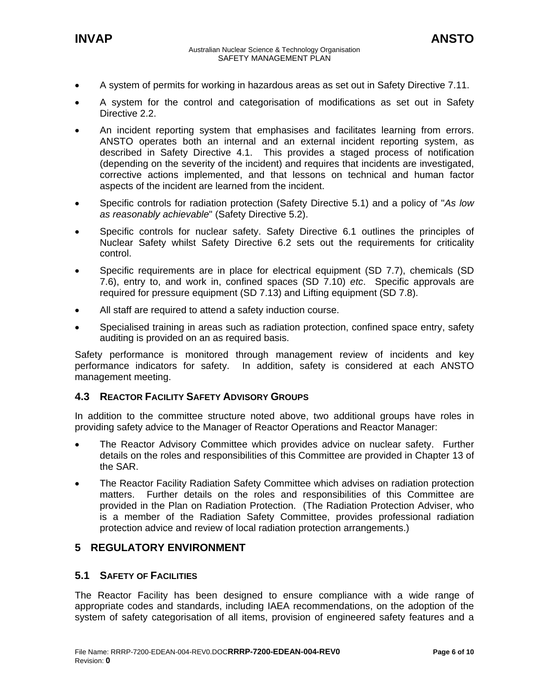<span id="page-5-0"></span>

- A system of permits for working in hazardous areas as set out in Safety Directive 7.11.
- A system for the control and categorisation of modifications as set out in Safety Directive 2.2.
- An incident reporting system that emphasises and facilitates learning from errors. ANSTO operates both an internal and an external incident reporting system, as described in Safety Directive 4.1. This provides a staged process of notification (depending on the severity of the incident) and requires that incidents are investigated, corrective actions implemented, and that lessons on technical and human factor aspects of the incident are learned from the incident.
- Specific controls for radiation protection (Safety Directive 5.1) and a policy of "*As low as reasonably achievable*" (Safety Directive 5.2).
- Specific controls for nuclear safety. Safety Directive 6.1 outlines the principles of Nuclear Safety whilst Safety Directive 6.2 sets out the requirements for criticality control.
- Specific requirements are in place for electrical equipment (SD 7.7), chemicals (SD 7.6), entry to, and work in, confined spaces (SD 7.10) *etc*. Specific approvals are required for pressure equipment (SD 7.13) and Lifting equipment (SD 7.8).
- All staff are required to attend a safety induction course.
- Specialised training in areas such as radiation protection, confined space entry, safety auditing is provided on an as required basis.

Safety performance is monitored through management review of incidents and key performance indicators for safety. In addition, safety is considered at each ANSTO management meeting.

#### **4.3 REACTOR FACILITY SAFETY ADVISORY GROUPS**

In addition to the committee structure noted above, two additional groups have roles in providing safety advice to the Manager of Reactor Operations and Reactor Manager:

- The Reactor Advisory Committee which provides advice on nuclear safety. Further details on the roles and responsibilities of this Committee are provided in Chapter 13 of the SAR.
- The Reactor Facility Radiation Safety Committee which advises on radiation protection matters. Further details on the roles and responsibilities of this Committee are provided in the Plan on Radiation Protection. (The Radiation Protection Adviser, who is a member of the Radiation Safety Committee, provides professional radiation protection advice and review of local radiation protection arrangements.)

#### **5 REGULATORY ENVIRONMENT**

#### **5.1 SAFETY OF FACILITIES**

The Reactor Facility has been designed to ensure compliance with a wide range of appropriate codes and standards, including IAEA recommendations, on the adoption of the system of safety categorisation of all items, provision of engineered safety features and a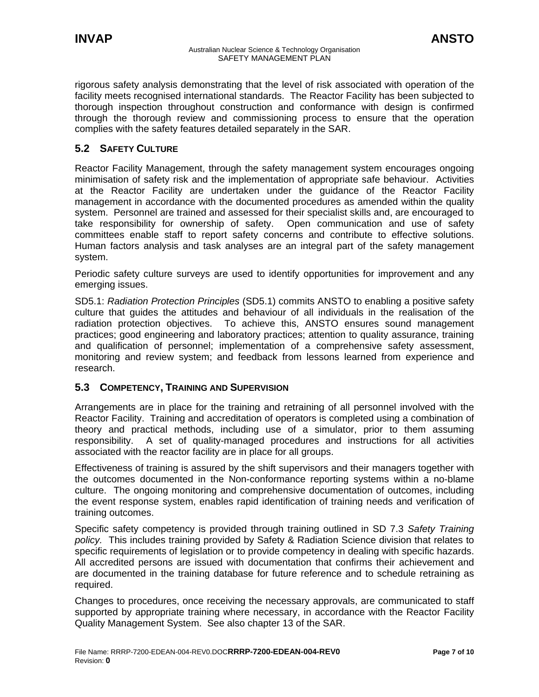<span id="page-6-0"></span>rigorous safety analysis demonstrating that the level of risk associated with operation of the facility meets recognised international standards. The Reactor Facility has been subjected to thorough inspection throughout construction and conformance with design is confirmed through the thorough review and commissioning process to ensure that the operation complies with the safety features detailed separately in the SAR.

## **5.2 SAFETY CULTURE**

Reactor Facility Management, through the safety management system encourages ongoing minimisation of safety risk and the implementation of appropriate safe behaviour. Activities at the Reactor Facility are undertaken under the guidance of the Reactor Facility management in accordance with the documented procedures as amended within the quality system. Personnel are trained and assessed for their specialist skills and, are encouraged to take responsibility for ownership of safety. Open communication and use of safety committees enable staff to report safety concerns and contribute to effective solutions. Human factors analysis and task analyses are an integral part of the safety management system.

Periodic safety culture surveys are used to identify opportunities for improvement and any emerging issues.

SD5.1: *Radiation Protection Principles* (SD5.1) commits ANSTO to enabling a positive safety culture that guides the attitudes and behaviour of all individuals in the realisation of the radiation protection objectives. To achieve this, ANSTO ensures sound management practices; good engineering and laboratory practices; attention to quality assurance, training and qualification of personnel; implementation of a comprehensive safety assessment, monitoring and review system; and feedback from lessons learned from experience and research.

## **5.3 COMPETENCY, TRAINING AND SUPERVISION**

Arrangements are in place for the training and retraining of all personnel involved with the Reactor Facility. Training and accreditation of operators is completed using a combination of theory and practical methods, including use of a simulator, prior to them assuming responsibility. A set of quality-managed procedures and instructions for all activities associated with the reactor facility are in place for all groups.

Effectiveness of training is assured by the shift supervisors and their managers together with the outcomes documented in the Non-conformance reporting systems within a no-blame culture. The ongoing monitoring and comprehensive documentation of outcomes, including the event response system, enables rapid identification of training needs and verification of training outcomes.

Specific safety competency is provided through training outlined in SD 7.3 *Safety Training policy.* This includes training provided by Safety & Radiation Science division that relates to specific requirements of legislation or to provide competency in dealing with specific hazards. All accredited persons are issued with documentation that confirms their achievement and are documented in the training database for future reference and to schedule retraining as required.

Changes to procedures, once receiving the necessary approvals, are communicated to staff supported by appropriate training where necessary, in accordance with the Reactor Facility Quality Management System. See also chapter 13 of the SAR.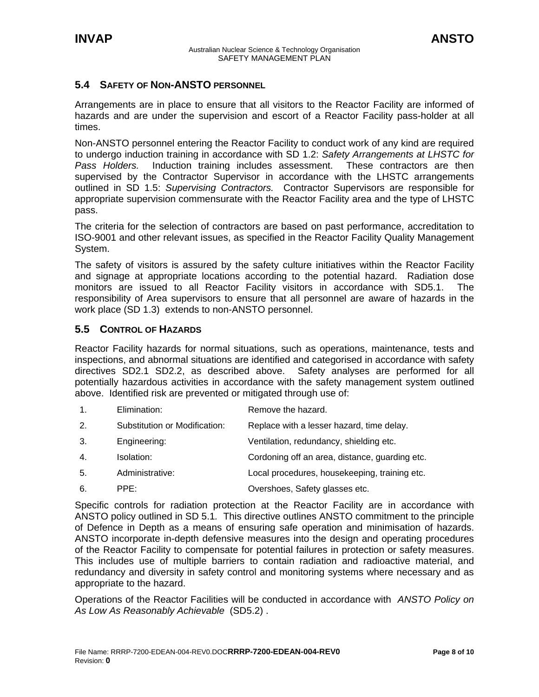## <span id="page-7-0"></span>**5.4 SAFETY OF NON-ANSTO PERSONNEL**

Arrangements are in place to ensure that all visitors to the Reactor Facility are informed of hazards and are under the supervision and escort of a Reactor Facility pass-holder at all times.

Non-ANSTO personnel entering the Reactor Facility to conduct work of any kind are required to undergo induction training in accordance with SD 1.2: *Safety Arrangements at LHSTC for Pass Holders.* Induction training includes assessment. These contractors are then supervised by the Contractor Supervisor in accordance with the LHSTC arrangements outlined in SD 1.5: *Supervising Contractors.* Contractor Supervisors are responsible for appropriate supervision commensurate with the Reactor Facility area and the type of LHSTC pass.

The criteria for the selection of contractors are based on past performance, accreditation to ISO-9001 and other relevant issues, as specified in the Reactor Facility Quality Management System.

The safety of visitors is assured by the safety culture initiatives within the Reactor Facility and signage at appropriate locations according to the potential hazard. Radiation dose monitors are issued to all Reactor Facility visitors in accordance with SD5.1. The responsibility of Area supervisors to ensure that all personnel are aware of hazards in the work place (SD 1.3) extends to non-ANSTO personnel.

#### **5.5 CONTROL OF HAZARDS**

Reactor Facility hazards for normal situations, such as operations, maintenance, tests and inspections, and abnormal situations are identified and categorised in accordance with safety directives SD2.1 SD2.2, as described above. Safety analyses are performed for all potentially hazardous activities in accordance with the safety management system outlined above. Identified risk are prevented or mitigated through use of:

- 1. Elimination: Remove the hazard.
- 2. Substitution or Modification: Replace with a lesser hazard, time delay.
- 3. Engineering: Ventilation, redundancy, shielding etc.
- 4. Isolation: Cordoning off an area, distance, guarding etc.
- 5. Administrative: Local procedures, housekeeping, training etc.
- 6. PPE: Overshoes, Safety glasses etc.

Specific controls for radiation protection at the Reactor Facility are in accordance with ANSTO policy outlined in SD 5.1*.* This directive outlines ANSTO commitment to the principle of Defence in Depth as a means of ensuring safe operation and minimisation of hazards. ANSTO incorporate in-depth defensive measures into the design and operating procedures of the Reactor Facility to compensate for potential failures in protection or safety measures. This includes use of multiple barriers to contain radiation and radioactive material, and redundancy and diversity in safety control and monitoring systems where necessary and as appropriate to the hazard.

Operations of the Reactor Facilities will be conducted in accordance with *ANSTO Policy on As Low As Reasonably Achievable* (SD5.2) .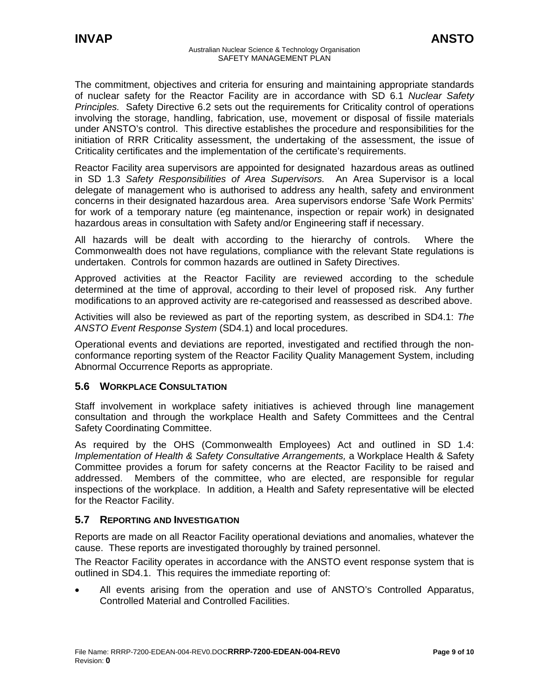<span id="page-8-0"></span>The commitment, objectives and criteria for ensuring and maintaining appropriate standards of nuclear safety for the Reactor Facility are in accordance with SD 6.1 *Nuclear Safety Principles.* Safety Directive 6.2 sets out the requirements for Criticality control of operations involving the storage, handling, fabrication, use, movement or disposal of fissile materials under ANSTO's control. This directive establishes the procedure and responsibilities for the initiation of RRR Criticality assessment, the undertaking of the assessment, the issue of Criticality certificates and the implementation of the certificate's requirements.

Reactor Facility area supervisors are appointed for designated hazardous areas as outlined in SD 1.3 *Safety Responsibilities of Area Supervisors.* An Area Supervisor is a local delegate of management who is authorised to address any health, safety and environment concerns in their designated hazardous area. Area supervisors endorse 'Safe Work Permits' for work of a temporary nature (eg maintenance, inspection or repair work) in designated hazardous areas in consultation with Safety and/or Engineering staff if necessary.

All hazards will be dealt with according to the hierarchy of controls. Where the Commonwealth does not have regulations, compliance with the relevant State regulations is undertaken. Controls for common hazards are outlined in Safety Directives.

Approved activities at the Reactor Facility are reviewed according to the schedule determined at the time of approval, according to their level of proposed risk. Any further modifications to an approved activity are re-categorised and reassessed as described above.

Activities will also be reviewed as part of the reporting system, as described in SD4.1: *The ANSTO Event Response System* (SD4.1) and local procedures.

Operational events and deviations are reported, investigated and rectified through the nonconformance reporting system of the Reactor Facility Quality Management System, including Abnormal Occurrence Reports as appropriate.

## **5.6 WORKPLACE CONSULTATION**

Staff involvement in workplace safety initiatives is achieved through line management consultation and through the workplace Health and Safety Committees and the Central Safety Coordinating Committee.

As required by the OHS (Commonwealth Employees) Act and outlined in SD 1.4: *Implementation of Health & Safety Consultative Arrangements,* a Workplace Health & Safety Committee provides a forum for safety concerns at the Reactor Facility to be raised and addressed. Members of the committee, who are elected, are responsible for regular inspections of the workplace. In addition, a Health and Safety representative will be elected for the Reactor Facility.

#### **5.7 REPORTING AND INVESTIGATION**

Reports are made on all Reactor Facility operational deviations and anomalies, whatever the cause. These reports are investigated thoroughly by trained personnel.

The Reactor Facility operates in accordance with the ANSTO event response system that is outlined in SD4.1. This requires the immediate reporting of:

• All events arising from the operation and use of ANSTO's Controlled Apparatus, Controlled Material and Controlled Facilities.